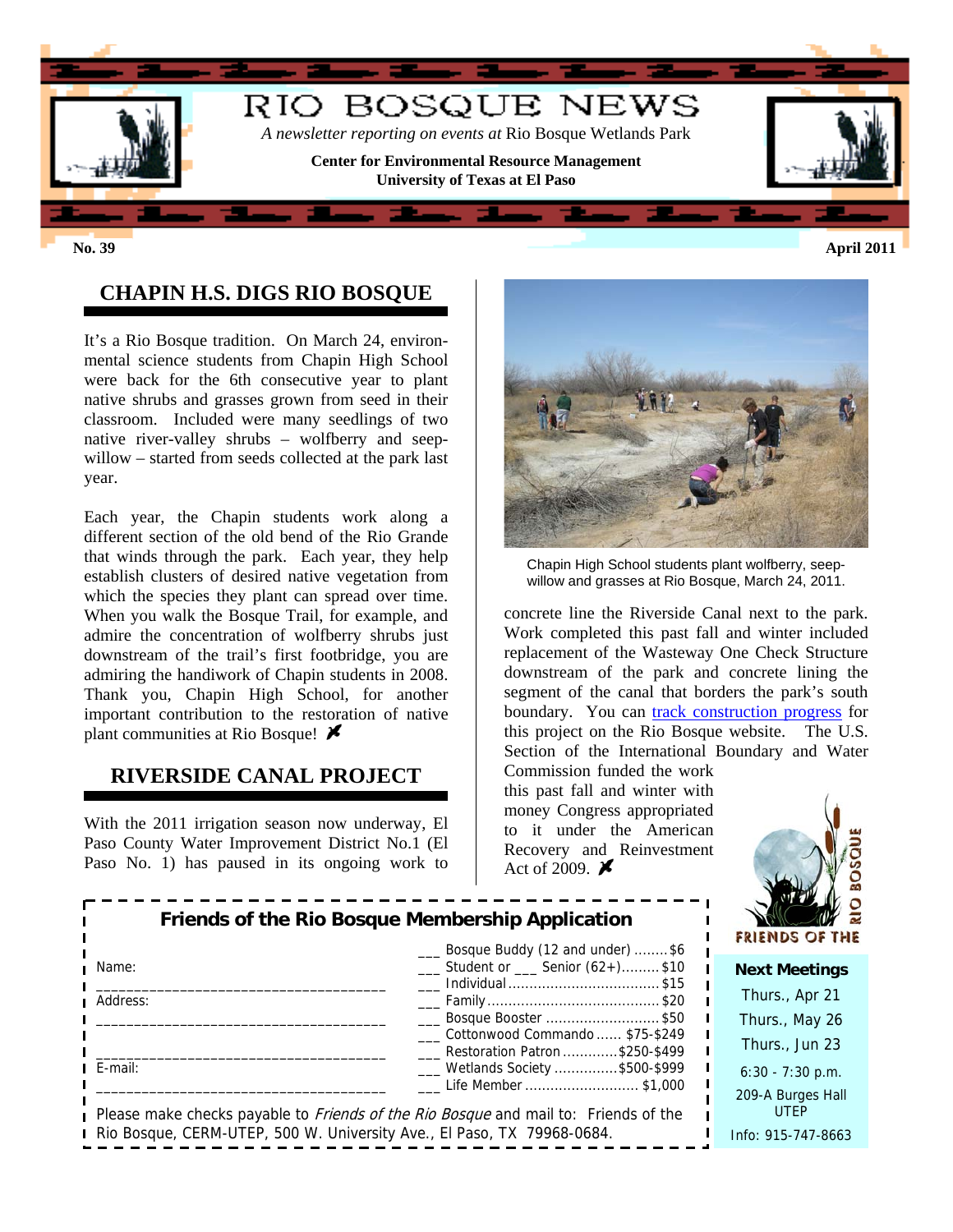

**No. 39 April 2011**

## **CHAPIN H.S. DIGS RIO BOSQUE**

It's a Rio Bosque tradition. On March 24, environmental science students from Chapin High School were back for the 6th consecutive year to plant native shrubs and grasses grown from seed in their classroom. Included were many seedlings of two native river-valley shrubs – wolfberry and seepwillow – started from seeds collected at the park last year.

Each year, the Chapin students work along a different section of the old bend of the Rio Grande that winds through the park. Each year, they help establish clusters of desired native vegetation from which the species they plant can spread over time. When you walk the Bosque Trail, for example, and admire the concentration of wolfberry shrubs just downstream of the trail's first footbridge, you are admiring the handiwork of Chapin students in 2008. Thank you, Chapin High School, for another important contribution to the restoration of native plant communities at Rio Bosque!  $\blacktriangleright$ 

### **RIVERSIDE CANAL PROJECT**

With the 2011 irrigation season now underway, El Paso County Water Improvement District No.1 (El Paso No. 1) has paused in its ongoing work to



Chapin High School students plant wolfberry, seepwillow and grasses at Rio Bosque, March 24, 2011.

concrete line the Riverside Canal next to the park. Work completed this past fall and winter included replacement of the Wasteway One Check Structure downstream of the park and concrete lining the segment of the canal that borders the park's south boundary. You can [track construction progress](http://research.utep.edu/Default.aspx?tabid=43770) for this project on the Rio Bosque website. The U.S. Section of the International Boundary and Water

Commission funded the work this past fall and winter with money Congress appropriated to it under the American Recovery and Reinvestment Act of 2009.  $\blacktriangleright$ 



|                                                                        | Friends of the Rio Bosque Membership Application<br>Bosque Buddy (12 and under) \$6        | <b>FRIENDS OF THE</b>            |
|------------------------------------------------------------------------|--------------------------------------------------------------------------------------------|----------------------------------|
| Name:                                                                  | Student or Senior (62+)\$10                                                                | <b>Next Meetings</b>             |
| Address:                                                               |                                                                                            | Thurs., Apr 21                   |
|                                                                        | Bosque Booster \$50                                                                        | Thurs., May 26                   |
|                                                                        | Cottonwood Commando  \$75-\$249<br>Restoration Patron \$250-\$499                          | Thurs., Jun 23                   |
| E-mail:                                                                | ___ Wetlands Society \$500-\$999<br>Life Member  \$1,000                                   | $6:30 - 7:30$ p.m.               |
|                                                                        | Please make checks payable to <i>Friends of the Rio Bosque</i> and mail to: Friends of the | 209-A Burges Hall<br><b>UTEP</b> |
| Rio Bosque, CERM-UTEP, 500 W. University Ave., El Paso, TX 79968-0684. |                                                                                            | Info: 915-747-8663               |